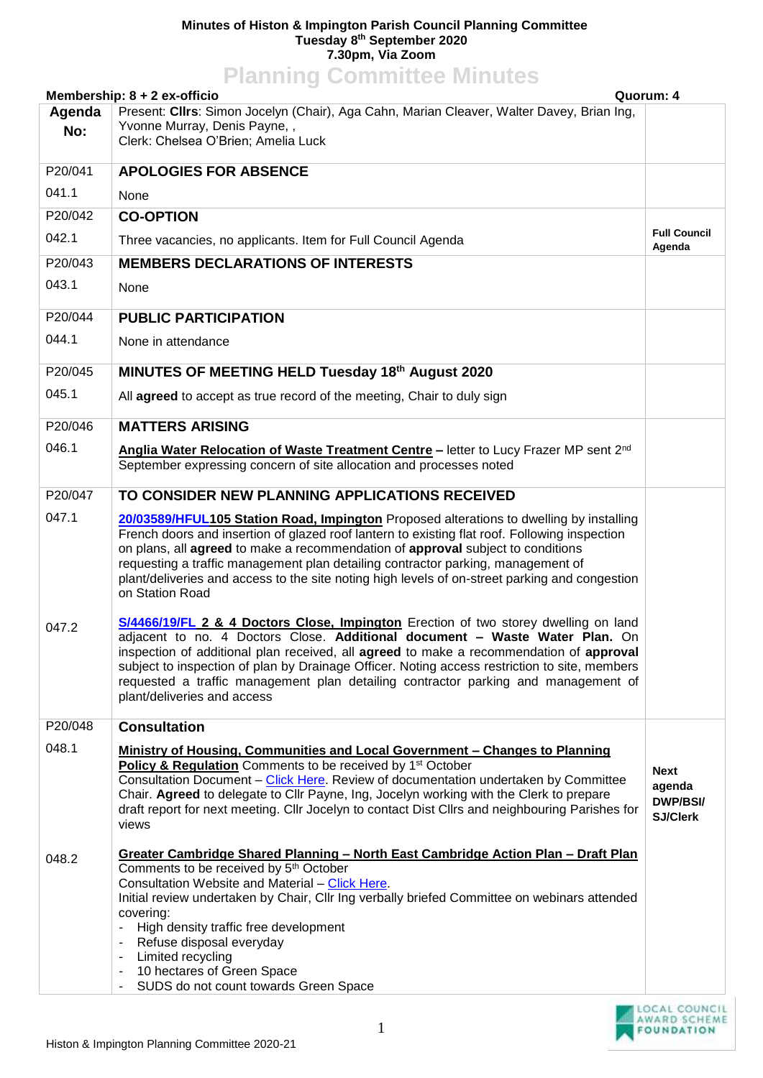## **Minutes of Histon & Impington Parish Council Planning Committee Tuesday 8 th September 2020 7.30pm, Via Zoom**

| <b>Planning Committee Minutes</b>         |                                                                                                                                                                                                                                                                                                                                                                                                                                                                                     |                                                             |  |
|-------------------------------------------|-------------------------------------------------------------------------------------------------------------------------------------------------------------------------------------------------------------------------------------------------------------------------------------------------------------------------------------------------------------------------------------------------------------------------------------------------------------------------------------|-------------------------------------------------------------|--|
| Membership: 8 + 2 ex-officio<br>Quorum: 4 |                                                                                                                                                                                                                                                                                                                                                                                                                                                                                     |                                                             |  |
| Agenda                                    | Present: Cllrs: Simon Jocelyn (Chair), Aga Cahn, Marian Cleaver, Walter Davey, Brian Ing,<br>Yvonne Murray, Denis Payne,,                                                                                                                                                                                                                                                                                                                                                           |                                                             |  |
| No:                                       | Clerk: Chelsea O'Brien; Amelia Luck                                                                                                                                                                                                                                                                                                                                                                                                                                                 |                                                             |  |
| P20/041                                   | <b>APOLOGIES FOR ABSENCE</b>                                                                                                                                                                                                                                                                                                                                                                                                                                                        |                                                             |  |
| 041.1                                     | None                                                                                                                                                                                                                                                                                                                                                                                                                                                                                |                                                             |  |
| P20/042                                   | <b>CO-OPTION</b>                                                                                                                                                                                                                                                                                                                                                                                                                                                                    |                                                             |  |
| 042.1                                     | Three vacancies, no applicants. Item for Full Council Agenda                                                                                                                                                                                                                                                                                                                                                                                                                        | <b>Full Council</b><br>Agenda                               |  |
| P20/043                                   | <b>MEMBERS DECLARATIONS OF INTERESTS</b>                                                                                                                                                                                                                                                                                                                                                                                                                                            |                                                             |  |
| 043.1                                     | None                                                                                                                                                                                                                                                                                                                                                                                                                                                                                |                                                             |  |
| P20/044                                   | <b>PUBLIC PARTICIPATION</b>                                                                                                                                                                                                                                                                                                                                                                                                                                                         |                                                             |  |
| 044.1                                     | None in attendance                                                                                                                                                                                                                                                                                                                                                                                                                                                                  |                                                             |  |
| P20/045                                   | MINUTES OF MEETING HELD Tuesday 18th August 2020                                                                                                                                                                                                                                                                                                                                                                                                                                    |                                                             |  |
| 045.1                                     | All agreed to accept as true record of the meeting, Chair to duly sign                                                                                                                                                                                                                                                                                                                                                                                                              |                                                             |  |
| P20/046                                   | <b>MATTERS ARISING</b>                                                                                                                                                                                                                                                                                                                                                                                                                                                              |                                                             |  |
| 046.1                                     | Anglia Water Relocation of Waste Treatment Centre - letter to Lucy Frazer MP sent 2nd<br>September expressing concern of site allocation and processes noted                                                                                                                                                                                                                                                                                                                        |                                                             |  |
| P20/047                                   | TO CONSIDER NEW PLANNING APPLICATIONS RECEIVED                                                                                                                                                                                                                                                                                                                                                                                                                                      |                                                             |  |
| 047.1                                     | 20/03589/HFUL105 Station Road, Impington Proposed alterations to dwelling by installing                                                                                                                                                                                                                                                                                                                                                                                             |                                                             |  |
|                                           | French doors and insertion of glazed roof lantern to existing flat roof. Following inspection<br>on plans, all agreed to make a recommendation of approval subject to conditions<br>requesting a traffic management plan detailing contractor parking, management of<br>plant/deliveries and access to the site noting high levels of on-street parking and congestion<br>on Station Road                                                                                           |                                                             |  |
| 047.2                                     | S/4466/19/FL 2 & 4 Doctors Close, Impington Erection of two storey dwelling on land<br>adiacent to no. 4 Doctors Close. Additional document - Waste Water Plan. On<br>inspection of additional plan received, all agreed to make a recommendation of approval<br>subject to inspection of plan by Drainage Officer. Noting access restriction to site, members<br>requested a traffic management plan detailing contractor parking and management of<br>plant/deliveries and access |                                                             |  |
| P20/048                                   | <b>Consultation</b>                                                                                                                                                                                                                                                                                                                                                                                                                                                                 |                                                             |  |
| 048.1                                     | <b>Ministry of Housing, Communities and Local Government - Changes to Planning</b>                                                                                                                                                                                                                                                                                                                                                                                                  |                                                             |  |
|                                           | <b>Policy &amp; Regulation</b> Comments to be received by 1 <sup>st</sup> October<br>Consultation Document - Click Here. Review of documentation undertaken by Committee<br>Chair. Agreed to delegate to Cllr Payne, Ing, Jocelyn working with the Clerk to prepare<br>draft report for next meeting. Cllr Jocelyn to contact Dist Cllrs and neighbouring Parishes for<br>views                                                                                                     | <b>Next</b><br>agenda<br><b>DWP/BSI/</b><br><b>SJ/Clerk</b> |  |
| 048.2                                     | Greater Cambridge Shared Planning - North East Cambridge Action Plan - Draft Plan<br>Comments to be received by 5 <sup>th</sup> October<br>Consultation Website and Material - Click Here.<br>Initial review undertaken by Chair, Cllr Ing verbally briefed Committee on webinars attended<br>covering:<br>High density traffic free development<br>Refuse disposal everyday<br>Limited recycling<br>10 hectares of Green Space                                                     |                                                             |  |
|                                           | SUDS do not count towards Green Space                                                                                                                                                                                                                                                                                                                                                                                                                                               |                                                             |  |